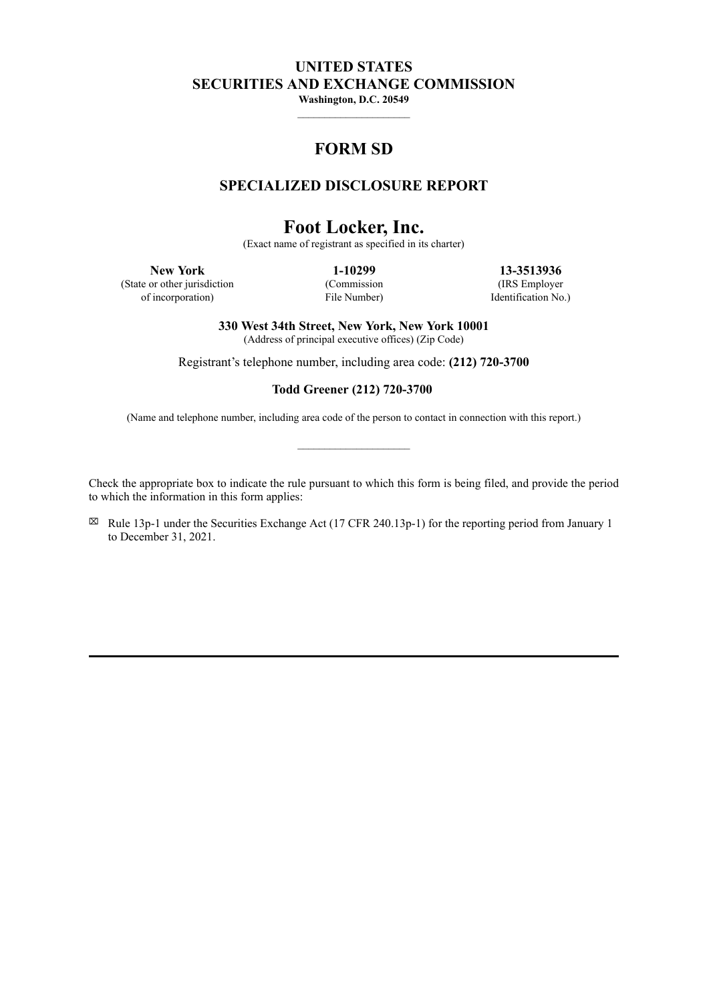# **UNITED STATES SECURITIES AND EXCHANGE COMMISSION**

**Washington, D.C. 20549**

# **FORM SD**

# **SPECIALIZED DISCLOSURE REPORT**

# **Foot Locker, Inc.**

(Exact name of registrant as specified in its charter)

(State or other jurisdiction

of incorporation)

(Commission File Number)

**New York 1-10299 13-3513936** (IRS Employer Identification No.)

**330 West 34th Street, New York, New York 10001**

(Address of principal executive offices) (Zip Code)

Registrant's telephone number, including area code: **(212) 720-3700**

# **Todd Greener (212) 720-3700**

(Name and telephone number, including area code of the person to contact in connection with this report.)

Check the appropriate box to indicate the rule pursuant to which this form is being filed, and provide the period to which the information in this form applies:

 $\boxtimes$  Rule 13p-1 under the Securities Exchange Act (17 CFR 240.13p-1) for the reporting period from January 1 to December 31, 2021.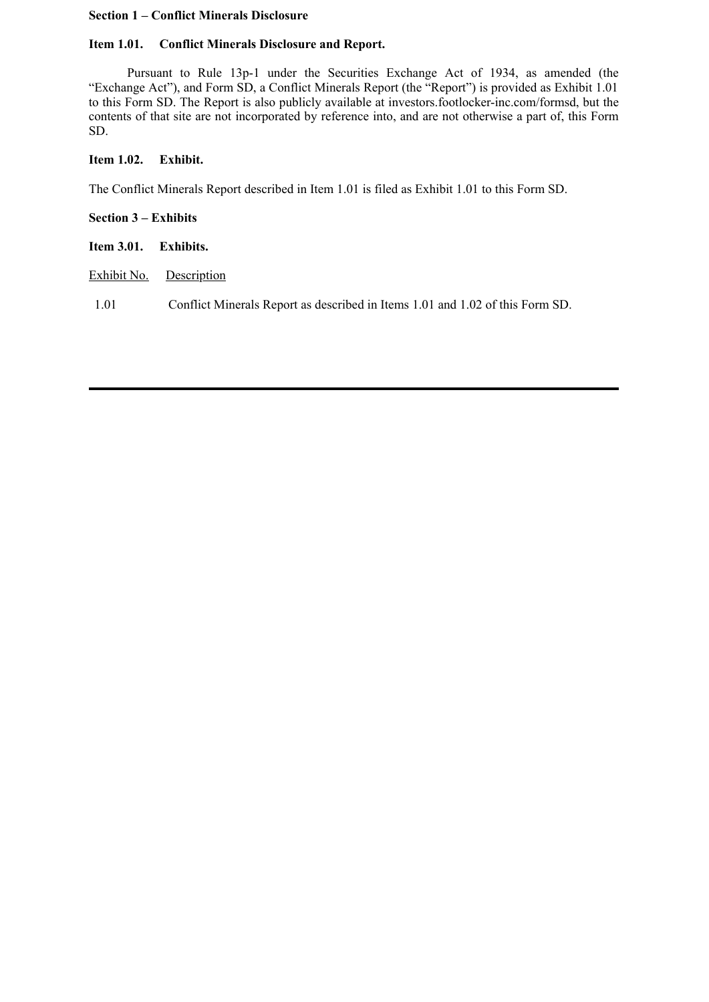# **Section 1 – Conflict Minerals Disclosure**

# **Item 1.01. Conflict Minerals Disclosure and Report.**

Pursuant to Rule 13p-1 under the Securities Exchange Act of 1934, as amended (the "Exchange Act"), and Form SD, a Conflict Minerals Report (the "Report") is provided as Exhibit 1.01 to this Form SD. The Report is also publicly available at investors.footlocker-inc.com/formsd, but the contents of that site are not incorporated by reference into, and are not otherwise a part of, this Form SD.

# **Item 1.02. Exhibit.**

The Conflict Minerals Report described in Item 1.01 is filed as Exhibit 1.01 to this Form SD.

**Section 3 – Exhibits**

**Item 3.01. Exhibits.**

Exhibit No. Description

1.01 Conflict Minerals Report as described in Items 1.01 and 1.02 of this Form SD.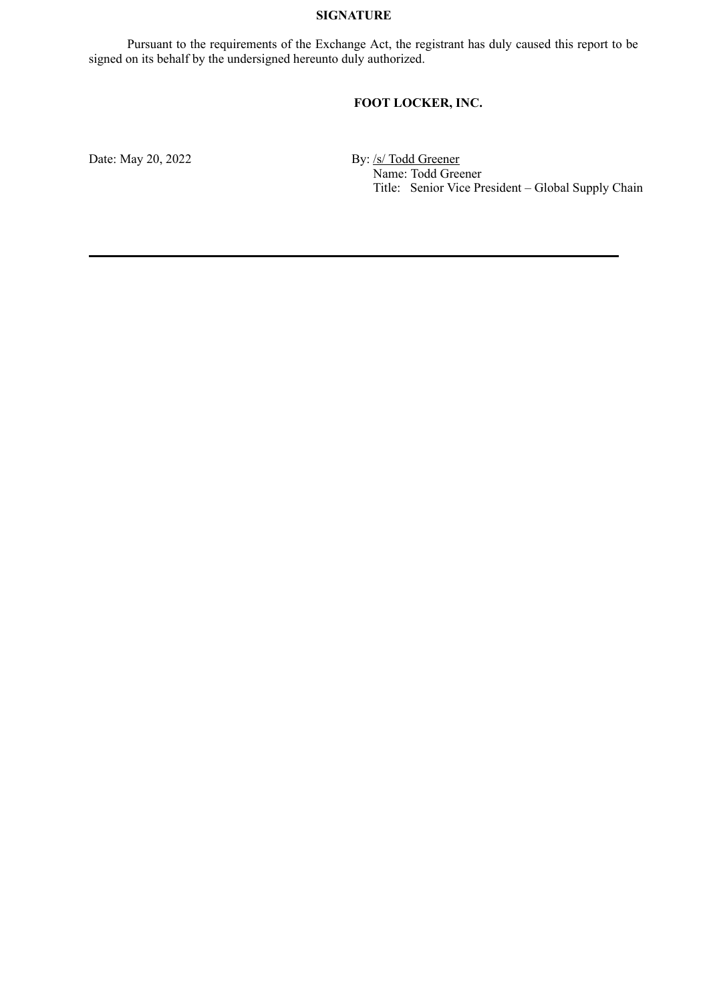# **SIGNATURE**

Pursuant to the requirements of the Exchange Act, the registrant has duly caused this report to be signed on its behalf by the undersigned hereunto duly authorized.

# **FOOT LOCKER, INC.**

Date: May 20, 2022 By: /s/ Todd Greener Name: Todd Greener Title: Senior Vice President – Global Supply Chain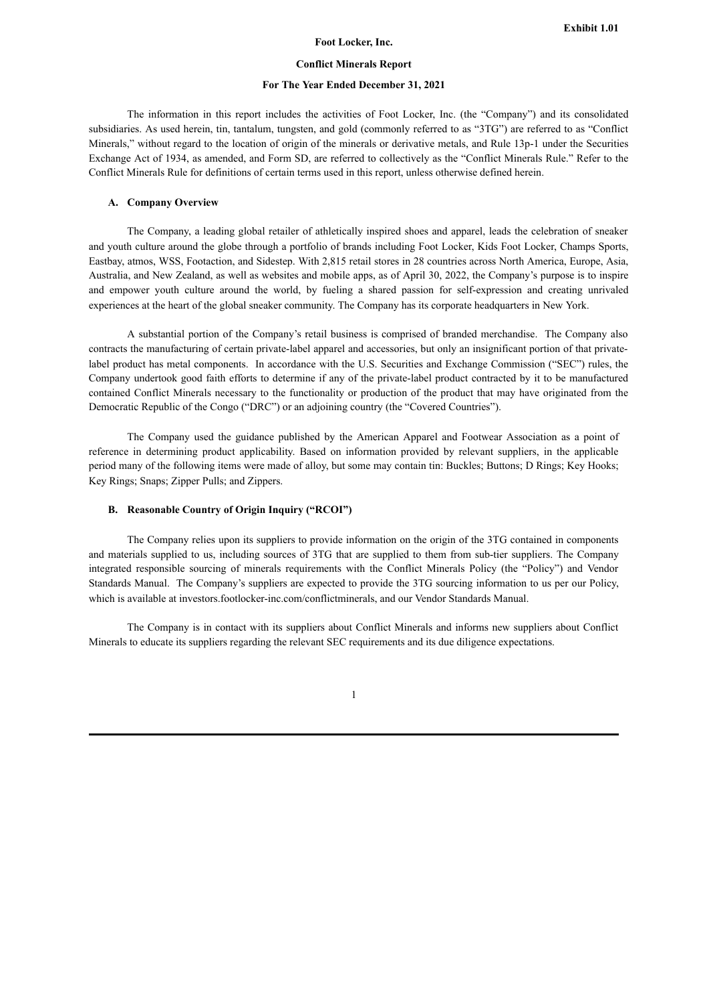#### **Foot Locker, Inc.**

#### **Conflict Minerals Report**

## **For The Year Ended December 31, 2021**

The information in this report includes the activities of Foot Locker, Inc. (the "Company") and its consolidated subsidiaries. As used herein, tin, tantalum, tungsten, and gold (commonly referred to as "3TG") are referred to as "Conflict Minerals," without regard to the location of origin of the minerals or derivative metals, and Rule 13p-1 under the Securities Exchange Act of 1934, as amended, and Form SD, are referred to collectively as the "Conflict Minerals Rule." Refer to the Conflict Minerals Rule for definitions of certain terms used in this report, unless otherwise defined herein.

#### **A. Company Overview**

The Company, a leading global retailer of athletically inspired shoes and apparel, leads the celebration of sneaker and youth culture around the globe through a portfolio of brands including Foot Locker, Kids Foot Locker, Champs Sports, Eastbay, atmos, WSS, Footaction, and Sidestep. With 2,815 retail stores in 28 countries across North America, Europe, Asia, Australia, and New Zealand, as well as websites and mobile apps, as of April 30, 2022, the Company's purpose is to inspire and empower youth culture around the world, by fueling a shared passion for self-expression and creating unrivaled experiences at the heart of the global sneaker community. The Company has its corporate headquarters in New York.

A substantial portion of the Company's retail business is comprised of branded merchandise. The Company also contracts the manufacturing of certain private-label apparel and accessories, but only an insignificant portion of that privatelabel product has metal components. In accordance with the U.S. Securities and Exchange Commission ("SEC") rules, the Company undertook good faith efforts to determine if any of the private-label product contracted by it to be manufactured contained Conflict Minerals necessary to the functionality or production of the product that may have originated from the Democratic Republic of the Congo ("DRC") or an adjoining country (the "Covered Countries").

The Company used the guidance published by the American Apparel and Footwear Association as a point of reference in determining product applicability. Based on information provided by relevant suppliers, in the applicable period many of the following items were made of alloy, but some may contain tin: Buckles; Buttons; D Rings; Key Hooks; Key Rings; Snaps; Zipper Pulls; and Zippers.

#### **B. Reasonable Country of Origin Inquiry ("RCOI")**

The Company relies upon its suppliers to provide information on the origin of the 3TG contained in components and materials supplied to us, including sources of 3TG that are supplied to them from sub-tier suppliers. The Company integrated responsible sourcing of minerals requirements with the Conflict Minerals Policy (the "Policy") and Vendor Standards Manual. The Company's suppliers are expected to provide the 3TG sourcing information to us per our Policy, which is available at investors.footlocker-inc.com/conflictminerals, and our Vendor Standards Manual.

The Company is in contact with its suppliers about Conflict Minerals and informs new suppliers about Conflict Minerals to educate its suppliers regarding the relevant SEC requirements and its due diligence expectations.

#### 1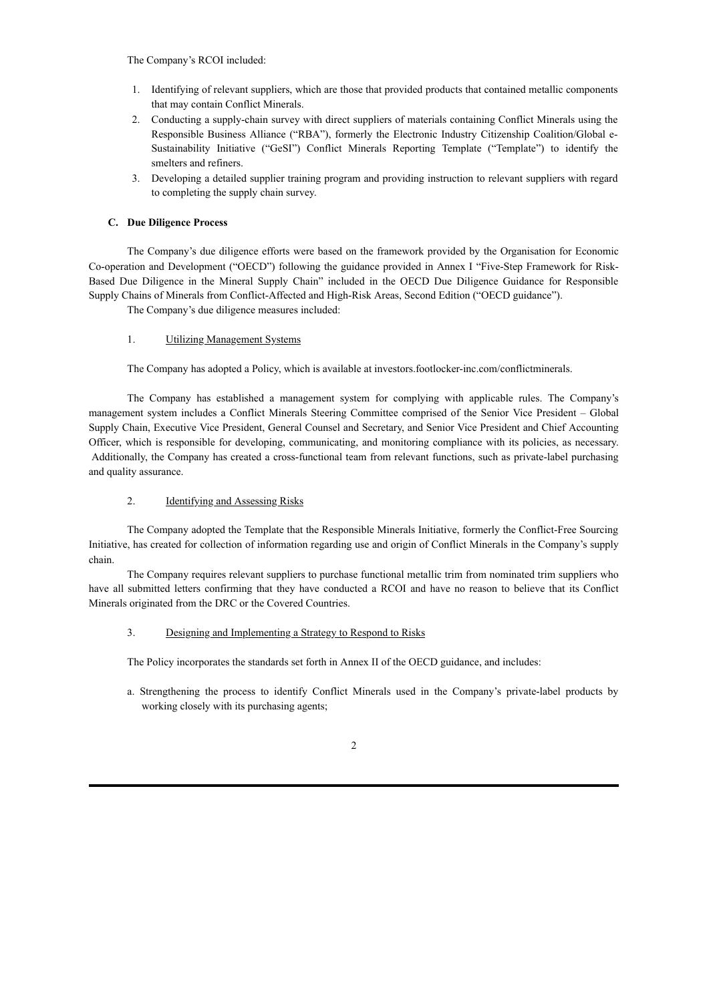### The Company's RCOI included:

- 1. Identifying of relevant suppliers, which are those that provided products that contained metallic components that may contain Conflict Minerals.
- 2. Conducting a supply-chain survey with direct suppliers of materials containing Conflict Minerals using the Responsible Business Alliance ("RBA"), formerly the Electronic Industry Citizenship Coalition/Global e-Sustainability Initiative ("GeSI") Conflict Minerals Reporting Template ("Template") to identify the smelters and refiners.
- 3. Developing a detailed supplier training program and providing instruction to relevant suppliers with regard to completing the supply chain survey.

## **C. Due Diligence Process**

The Company's due diligence efforts were based on the framework provided by the Organisation for Economic Co-operation and Development ("OECD") following the guidance provided in Annex I "Five-Step Framework for Risk-Based Due Diligence in the Mineral Supply Chain" included in the OECD Due Diligence Guidance for Responsible Supply Chains of Minerals from Conflict-Affected and High-Risk Areas, Second Edition ("OECD guidance").

The Company's due diligence measures included:

## 1. Utilizing Management Systems

The Company has adopted a Policy, which is available at investors.footlocker-inc.com/conflictminerals.

The Company has established a management system for complying with applicable rules. The Company's management system includes a Conflict Minerals Steering Committee comprised of the Senior Vice President – Global Supply Chain, Executive Vice President, General Counsel and Secretary, and Senior Vice President and Chief Accounting Officer, which is responsible for developing, communicating, and monitoring compliance with its policies, as necessary. Additionally, the Company has created a cross-functional team from relevant functions, such as private-label purchasing and quality assurance.

## 2. Identifying and Assessing Risks

The Company adopted the Template that the Responsible Minerals Initiative, formerly the Conflict-Free Sourcing Initiative, has created for collection of information regarding use and origin of Conflict Minerals in the Company's supply chain.

The Company requires relevant suppliers to purchase functional metallic trim from nominated trim suppliers who have all submitted letters confirming that they have conducted a RCOI and have no reason to believe that its Conflict Minerals originated from the DRC or the Covered Countries.

## 3. Designing and Implementing a Strategy to Respond to Risks

The Policy incorporates the standards set forth in Annex II of the OECD guidance, and includes:

a. Strengthening the process to identify Conflict Minerals used in the Company's private-label products by working closely with its purchasing agents;

## 2